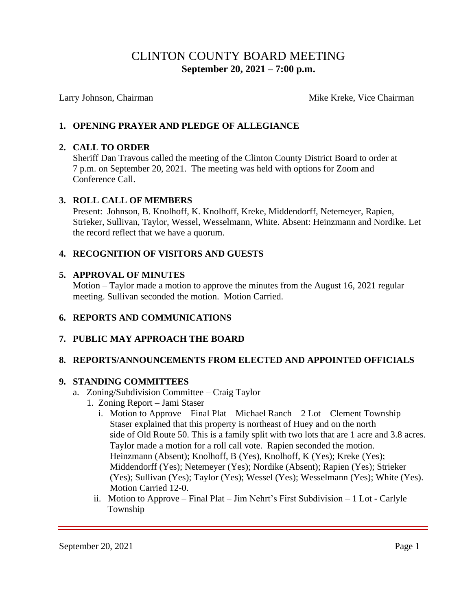# CLINTON COUNTY BOARD MEETING  **September 20, 2021 – 7:00 p.m.**

Larry Johnson, Chairman **Mike Kreke**, Vice Chairman Mike Kreke, Vice Chairman

### **1. OPENING PRAYER AND PLEDGE OF ALLEGIANCE**

#### **2. CALL TO ORDER**

Sheriff Dan Travous called the meeting of the Clinton County District Board to order at 7 p.m. on September 20, 2021. The meeting was held with options for Zoom and Conference Call.

#### **3. ROLL CALL OF MEMBERS**

Present: Johnson, B. Knolhoff, K. Knolhoff, Kreke, Middendorff, Netemeyer, Rapien, Strieker, Sullivan, Taylor, Wessel, Wesselmann, White. Absent: Heinzmann and Nordike. Let the record reflect that we have a quorum.

#### **4. RECOGNITION OF VISITORS AND GUESTS**

#### **5. APPROVAL OF MINUTES**

Motion – Taylor made a motion to approve the minutes from the August 16, 2021 regular meeting. Sullivan seconded the motion. Motion Carried.

#### **6. REPORTS AND COMMUNICATIONS**

#### **7. PUBLIC MAY APPROACH THE BOARD**

#### **8. REPORTS/ANNOUNCEMENTS FROM ELECTED AND APPOINTED OFFICIALS**

#### **9. STANDING COMMITTEES**

- a. Zoning/Subdivision Committee Craig Taylor
	- 1. Zoning Report Jami Staser
		- i. Motion to Approve Final Plat Michael Ranch 2 Lot Clement Township Staser explained that this property is northeast of Huey and on the north side of Old Route 50. This is a family split with two lots that are 1 acre and 3.8 acres. Taylor made a motion for a roll call vote. Rapien seconded the motion. Heinzmann (Absent); Knolhoff, B (Yes), Knolhoff, K (Yes); Kreke (Yes); Middendorff (Yes); Netemeyer (Yes); Nordike (Absent); Rapien (Yes); Strieker (Yes); Sullivan (Yes); Taylor (Yes); Wessel (Yes); Wesselmann (Yes); White (Yes). Motion Carried 12-0.
		- ii. Motion to Approve Final Plat Jim Nehrt's First Subdivision 1 Lot Carlyle Township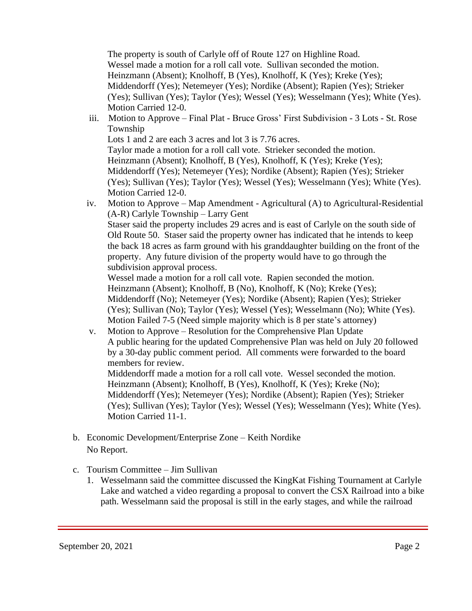The property is south of Carlyle off of Route 127 on Highline Road. Wessel made a motion for a roll call vote. Sullivan seconded the motion. Heinzmann (Absent); Knolhoff, B (Yes), Knolhoff, K (Yes); Kreke (Yes); Middendorff (Yes); Netemeyer (Yes); Nordike (Absent); Rapien (Yes); Strieker (Yes); Sullivan (Yes); Taylor (Yes); Wessel (Yes); Wesselmann (Yes); White (Yes). Motion Carried 12-0.

 iii. Motion to Approve – Final Plat - Bruce Gross' First Subdivision - 3 Lots - St. Rose Township

Lots 1 and 2 are each 3 acres and lot 3 is 7.76 acres. Taylor made a motion for a roll call vote. Strieker seconded the motion. Heinzmann (Absent); Knolhoff, B (Yes), Knolhoff, K (Yes); Kreke (Yes); Middendorff (Yes); Netemeyer (Yes); Nordike (Absent); Rapien (Yes); Strieker (Yes); Sullivan (Yes); Taylor (Yes); Wessel (Yes); Wesselmann (Yes); White (Yes). Motion Carried 12-0.

 iv. Motion to Approve – Map Amendment - Agricultural (A) to Agricultural-Residential (A-R) Carlyle Township – Larry Gent Staser said the property includes 29 acres and is east of Carlyle on the south side of Old Route 50. Staser said the property owner has indicated that he intends to keep the back 18 acres as farm ground with his granddaughter building on the front of the property. Any future division of the property would have to go through the subdivision approval process.

Wessel made a motion for a roll call vote. Rapien seconded the motion. Heinzmann (Absent); Knolhoff, B (No), Knolhoff, K (No); Kreke (Yes); Middendorff (No); Netemeyer (Yes); Nordike (Absent); Rapien (Yes); Strieker (Yes); Sullivan (No); Taylor (Yes); Wessel (Yes); Wesselmann (No); White (Yes). Motion Failed 7-5 (Need simple majority which is 8 per state's attorney)

 v. Motion to Approve – Resolution for the Comprehensive Plan Update A public hearing for the updated Comprehensive Plan was held on July 20 followed by a 30-day public comment period. All comments were forwarded to the board members for review.

Middendorff made a motion for a roll call vote. Wessel seconded the motion. Heinzmann (Absent); Knolhoff, B (Yes), Knolhoff, K (Yes); Kreke (No); Middendorff (Yes); Netemeyer (Yes); Nordike (Absent); Rapien (Yes); Strieker (Yes); Sullivan (Yes); Taylor (Yes); Wessel (Yes); Wesselmann (Yes); White (Yes). Motion Carried 11-1.

- b. Economic Development/Enterprise Zone Keith Nordike No Report.
- c. Tourism Committee Jim Sullivan
	- 1. Wesselmann said the committee discussed the KingKat Fishing Tournament at Carlyle Lake and watched a video regarding a proposal to convert the CSX Railroad into a bike path. Wesselmann said the proposal is still in the early stages, and while the railroad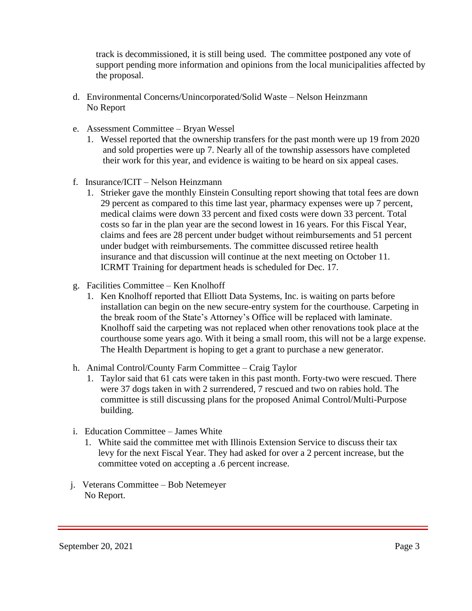track is decommissioned, it is still being used. The committee postponed any vote of support pending more information and opinions from the local municipalities affected by the proposal.

- d. Environmental Concerns/Unincorporated/Solid Waste Nelson Heinzmann No Report
- e. Assessment Committee Bryan Wessel
	- 1. Wessel reported that the ownership transfers for the past month were up 19 from 2020 and sold properties were up 7. Nearly all of the township assessors have completed their work for this year, and evidence is waiting to be heard on six appeal cases.
- f. Insurance/ICIT Nelson Heinzmann
	- 1. Strieker gave the monthly Einstein Consulting report showing that total fees are down 29 percent as compared to this time last year, pharmacy expenses were up 7 percent, medical claims were down 33 percent and fixed costs were down 33 percent. Total costs so far in the plan year are the second lowest in 16 years. For this Fiscal Year, claims and fees are 28 percent under budget without reimbursements and 51 percent under budget with reimbursements. The committee discussed retiree health insurance and that discussion will continue at the next meeting on October 11. ICRMT Training for department heads is scheduled for Dec. 17.
- g. Facilities Committee Ken Knolhoff
	- 1. Ken Knolhoff reported that Elliott Data Systems, Inc. is waiting on parts before installation can begin on the new secure-entry system for the courthouse. Carpeting in the break room of the State's Attorney's Office will be replaced with laminate. Knolhoff said the carpeting was not replaced when other renovations took place at the courthouse some years ago. With it being a small room, this will not be a large expense. The Health Department is hoping to get a grant to purchase a new generator.
- h. Animal Control/County Farm Committee Craig Taylor
	- 1. Taylor said that 61 cats were taken in this past month. Forty-two were rescued. There were 37 dogs taken in with 2 surrendered, 7 rescued and two on rabies hold. The committee is still discussing plans for the proposed Animal Control/Multi-Purpose building.
- i. Education Committee James White
	- 1. White said the committee met with Illinois Extension Service to discuss their tax levy for the next Fiscal Year. They had asked for over a 2 percent increase, but the committee voted on accepting a .6 percent increase.
- j. Veterans Committee Bob Netemeyer No Report.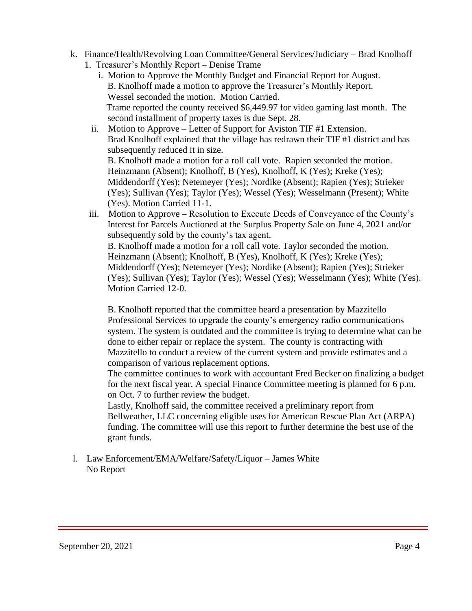- k. Finance/Health/Revolving Loan Committee/General Services/Judiciary Brad Knolhoff
	- 1. Treasurer's Monthly Report Denise Trame
		- i. Motion to Approve the Monthly Budget and Financial Report for August. B. Knolhoff made a motion to approve the Treasurer's Monthly Report. Wessel seconded the motion. Motion Carried. Trame reported the county received \$6,449.97 for video gaming last month. The second installment of property taxes is due Sept. 28.
		- ii. Motion to Approve Letter of Support for Aviston TIF #1 Extension. Brad Knolhoff explained that the village has redrawn their TIF #1 district and has subsequently reduced it in size. B. Knolhoff made a motion for a roll call vote. Rapien seconded the motion. Heinzmann (Absent); Knolhoff, B (Yes), Knolhoff, K (Yes); Kreke (Yes); Middendorff (Yes); Netemeyer (Yes); Nordike (Absent); Rapien (Yes); Strieker (Yes); Sullivan (Yes); Taylor (Yes); Wessel (Yes); Wesselmann (Present); White (Yes). Motion Carried 11-1.
	- iii. Motion to Approve Resolution to Execute Deeds of Conveyance of the County's Interest for Parcels Auctioned at the Surplus Property Sale on June 4, 2021 and/or subsequently sold by the county's tax agent. B. Knolhoff made a motion for a roll call vote. Taylor seconded the motion. Heinzmann (Absent); Knolhoff, B (Yes), Knolhoff, K (Yes); Kreke (Yes); Middendorff (Yes); Netemeyer (Yes); Nordike (Absent); Rapien (Yes); Strieker (Yes); Sullivan (Yes); Taylor (Yes); Wessel (Yes); Wesselmann (Yes); White (Yes).

Motion Carried 12-0.

 B. Knolhoff reported that the committee heard a presentation by Mazzitello Professional Services to upgrade the county's emergency radio communications system. The system is outdated and the committee is trying to determine what can be done to either repair or replace the system. The county is contracting with Mazzitello to conduct a review of the current system and provide estimates and a comparison of various replacement options.

The committee continues to work with accountant Fred Becker on finalizing a budget for the next fiscal year. A special Finance Committee meeting is planned for 6 p.m. on Oct. 7 to further review the budget.

Lastly, Knolhoff said, the committee received a preliminary report from Bellweather, LLC concerning eligible uses for American Rescue Plan Act (ARPA) funding. The committee will use this report to further determine the best use of the grant funds.

l. Law Enforcement/EMA/Welfare/Safety/Liquor – James White No Report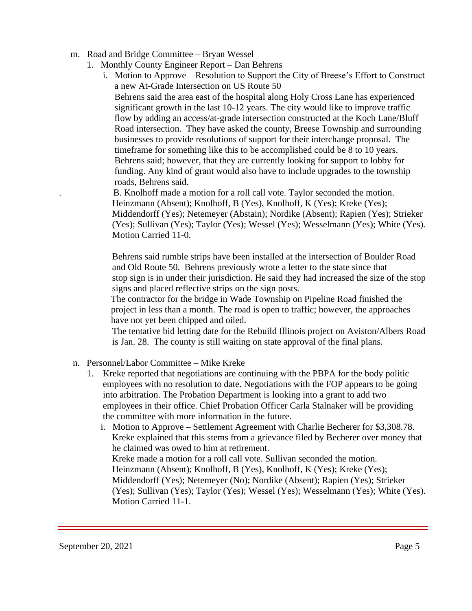- m. Road and Bridge Committee Bryan Wessel
	- 1. Monthly County Engineer Report Dan Behrens
		- i. Motion to Approve Resolution to Support the City of Breese's Effort to Construct a new At-Grade Intersection on US Route 50 Behrens said the area east of the hospital along Holy Cross Lane has experienced significant growth in the last 10-12 years. The city would like to improve traffic flow by adding an access/at-grade intersection constructed at the Koch Lane/Bluff Road intersection. They have asked the county, Breese Township and surrounding businesses to provide resolutions of support for their interchange proposal. The timeframe for something like this to be accomplished could be 8 to 10 years. Behrens said; however, that they are currently looking for support to lobby for funding. Any kind of grant would also have to include upgrades to the township roads, Behrens said.

. B. Knolhoff made a motion for a roll call vote. Taylor seconded the motion. Heinzmann (Absent); Knolhoff, B (Yes), Knolhoff, K (Yes); Kreke (Yes); Middendorff (Yes); Netemeyer (Abstain); Nordike (Absent); Rapien (Yes); Strieker (Yes); Sullivan (Yes); Taylor (Yes); Wessel (Yes); Wesselmann (Yes); White (Yes). Motion Carried 11-0.

 Behrens said rumble strips have been installed at the intersection of Boulder Road and Old Route 50. Behrens previously wrote a letter to the state since that stop sign is in under their jurisdiction. He said they had increased the size of the stop signs and placed reflective strips on the sign posts.

The contractor for the bridge in Wade Township on Pipeline Road finished the project in less than a month. The road is open to traffic; however, the approaches have not yet been chipped and oiled.

 The tentative bid letting date for the Rebuild Illinois project on Aviston/Albers Road is Jan. 28. The county is still waiting on state approval of the final plans.

- n. Personnel/Labor Committee Mike Kreke
	- 1. Kreke reported that negotiations are continuing with the PBPA for the body politic employees with no resolution to date. Negotiations with the FOP appears to be going into arbitration. The Probation Department is looking into a grant to add two employees in their office. Chief Probation Officer Carla Stalnaker will be providing the committee with more information in the future.
		- i. Motion to Approve Settlement Agreement with Charlie Becherer for \$3,308.78. Kreke explained that this stems from a grievance filed by Becherer over money that he claimed was owed to him at retirement. Kreke made a motion for a roll call vote. Sullivan seconded the motion. Heinzmann (Absent); Knolhoff, B (Yes), Knolhoff, K (Yes); Kreke (Yes); Middendorff (Yes); Netemeyer (No); Nordike (Absent); Rapien (Yes); Strieker (Yes); Sullivan (Yes); Taylor (Yes); Wessel (Yes); Wesselmann (Yes); White (Yes). Motion Carried 11-1.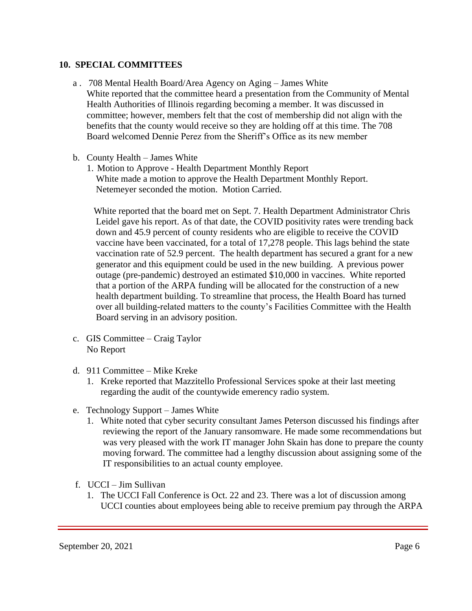#### **10. SPECIAL COMMITTEES**

- a . 708 Mental Health Board/Area Agency on Aging James White White reported that the committee heard a presentation from the Community of Mental Health Authorities of Illinois regarding becoming a member. It was discussed in committee; however, members felt that the cost of membership did not align with the benefits that the county would receive so they are holding off at this time. The 708 Board welcomed Dennie Perez from the Sheriff's Office as its new member
- b. County Health James White
	- 1. Motion to Approve Health Department Monthly Report White made a motion to approve the Health Department Monthly Report. Netemeyer seconded the motion. Motion Carried.

 White reported that the board met on Sept. 7. Health Department Administrator Chris Leidel gave his report. As of that date, the COVID positivity rates were trending back down and 45.9 percent of county residents who are eligible to receive the COVID vaccine have been vaccinated, for a total of 17,278 people. This lags behind the state vaccination rate of 52.9 percent. The health department has secured a grant for a new generator and this equipment could be used in the new building. A previous power outage (pre-pandemic) destroyed an estimated \$10,000 in vaccines. White reported that a portion of the ARPA funding will be allocated for the construction of a new health department building. To streamline that process, the Health Board has turned over all building-related matters to the county's Facilities Committee with the Health Board serving in an advisory position.

- c. GIS Committee Craig Taylor No Report
- d. 911 Committee Mike Kreke
	- 1. Kreke reported that Mazzitello Professional Services spoke at their last meeting regarding the audit of the countywide emerency radio system.
- e. Technology Support James White
	- 1. White noted that cyber security consultant James Peterson discussed his findings after reviewing the report of the January ransomware. He made some recommendations but was very pleased with the work IT manager John Skain has done to prepare the county moving forward. The committee had a lengthy discussion about assigning some of the IT responsibilities to an actual county employee.
- f. UCCI Jim Sullivan
	- 1. The UCCI Fall Conference is Oct. 22 and 23. There was a lot of discussion among UCCI counties about employees being able to receive premium pay through the ARPA